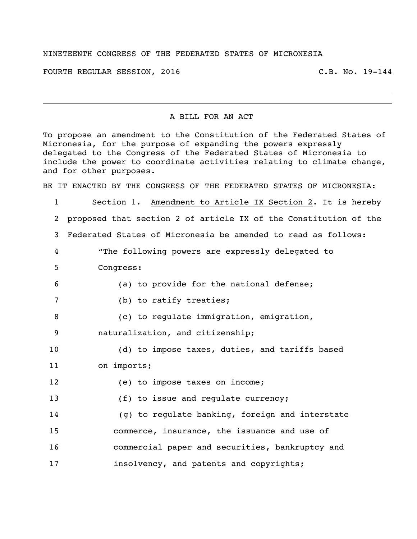## NINETEENTH CONGRESS OF THE FEDERATED STATES OF MICRONESIA

FOURTH REGULAR SESSION, 2016 C.B. No. 19-144

## A BILL FOR AN ACT

To propose an amendment to the Constitution of the Federated States of Micronesia, for the purpose of expanding the powers expressly delegated to the Congress of the Federated States of Micronesia to include the power to coordinate activities relating to climate change, and for other purposes.

BE IT ENACTED BY THE CONGRESS OF THE FEDERATED STATES OF MICRONESIA:

 Section 1. Amendment to Article IX Section 2. It is hereby proposed that section 2 of article IX of the Constitution of the Federated States of Micronesia be amended to read as follows: "The following powers are expressly delegated to Congress: 6 (a) to provide for the national defense; 7 (b) to ratify treaties; 8 (c) to regulate immigration, emigration, naturalization, and citizenship; 10 (d) to impose taxes, duties, and tariffs based on imports; 12 (e) to impose taxes on income; 13 (f) to issue and regulate currency; (g) to regulate banking, foreign and interstate commerce, insurance, the issuance and use of commercial paper and securities, bankruptcy and **insolvency, and patents and copyrights;**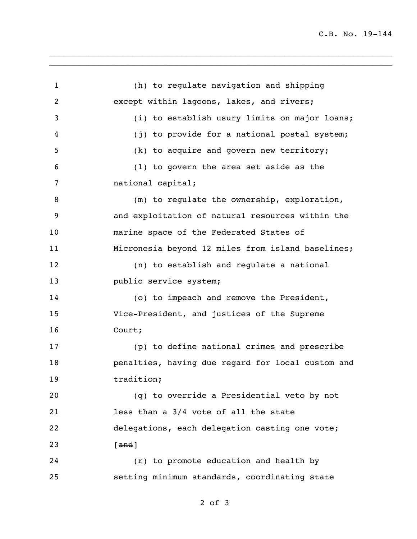C.B. No. 19-144

1 (h) to regulate navigation and shipping 2 except within lagoons, lakes, and rivers; 3 (i) to establish usury limits on major loans; 4 (j) to provide for a national postal system; 5 (k) to acquire and govern new territory; 6 (l) to govern the area set aside as the 7 national capital; 8 (m) to regulate the ownership, exploration, 9 and exploitation of natural resources within the 10 marine space of the Federated States of 11 Micronesia beyond 12 miles from island baselines; 12 (n) to establish and regulate a national 13 **public service system;** 14 (o) to impeach and remove the President, 15 Vice-President, and justices of the Supreme 16 Court; 17 (p) to define national crimes and prescribe 18 penalties, having due regard for local custom and 19 tradition: 20 (q) to override a Presidential veto by not 21 less than a 3/4 vote of all the state 22 delegations, each delegation casting one vote; 23 [and] 24 (r) to promote education and health by 25 setting minimum standards, coordinating state

\_\_\_\_\_\_\_\_\_\_\_\_\_\_\_\_\_\_\_\_\_\_\_\_\_\_\_\_\_\_\_\_\_\_\_\_\_\_\_\_\_\_\_\_\_\_\_\_\_\_\_\_\_\_\_\_\_\_\_\_\_\_\_\_\_\_\_\_\_\_ \_\_\_\_\_\_\_\_\_\_\_\_\_\_\_\_\_\_\_\_\_\_\_\_\_\_\_\_\_\_\_\_\_\_\_\_\_\_\_\_\_\_\_\_\_\_\_\_\_\_\_\_\_\_\_\_\_\_\_\_\_\_\_\_\_\_\_\_\_\_

2 of 3